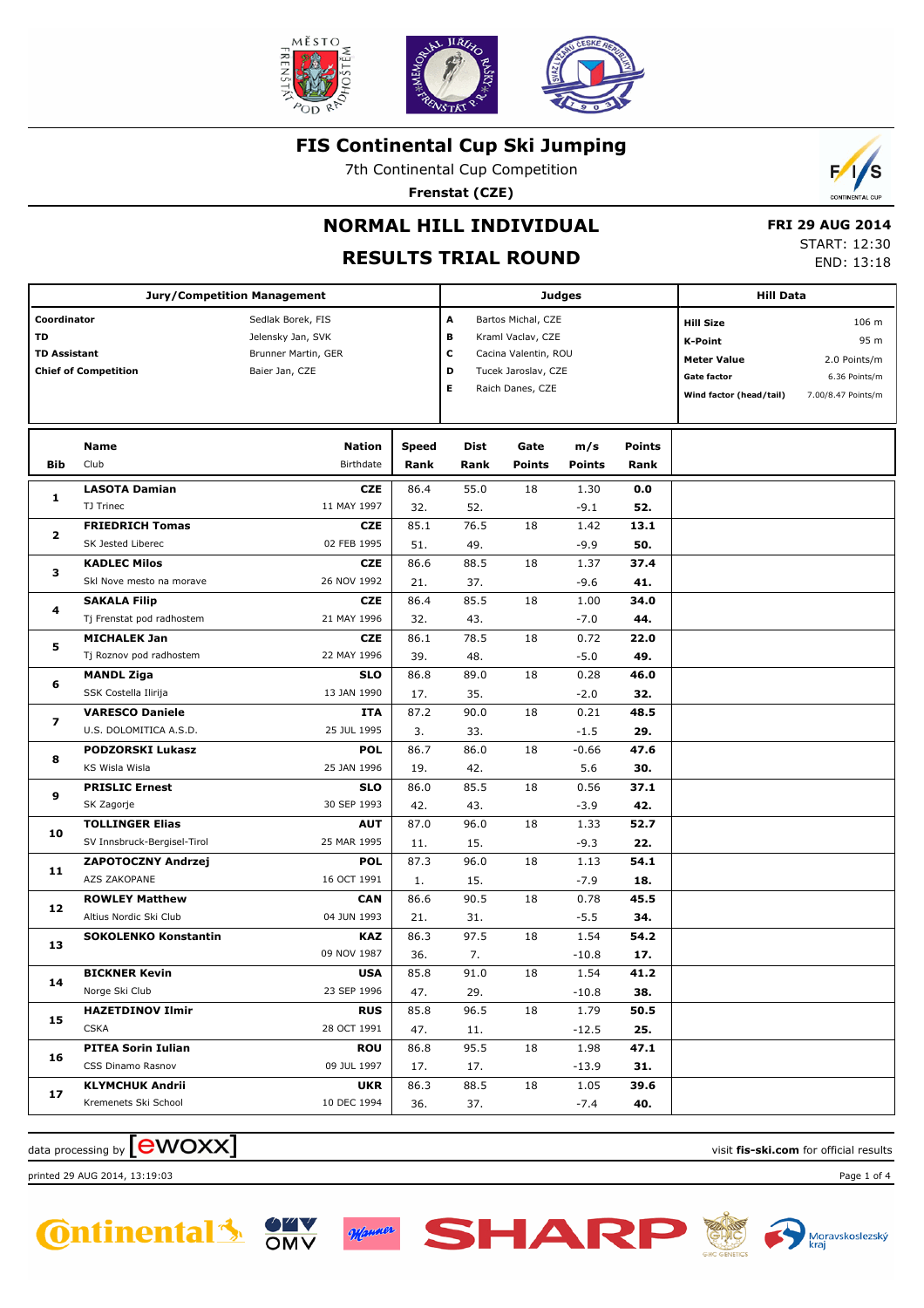

7th Continental Cup Competition

**Frenstat (CZE)**



# **NORMAL HILL INDIVIDUAL**

## **RESULTS TRIAL ROUND**

 **FRI 29 AUG 2014** START: 12:30 END: 13:18

|                                                                                                              | <b>Jury/Competition Management</b> |                     |       |      |                      | Judges             |               | <b>Hill Data</b>        |                    |  |
|--------------------------------------------------------------------------------------------------------------|------------------------------------|---------------------|-------|------|----------------------|--------------------|---------------|-------------------------|--------------------|--|
| Coordinator                                                                                                  |                                    | Sedlak Borek, FIS   |       |      |                      | Bartos Michal, CZE |               | <b>Hill Size</b>        | 106 m              |  |
| TD                                                                                                           |                                    | Jelensky Jan, SVK   |       | в    | Kraml Vaclav, CZE    |                    |               | <b>K-Point</b>          | 95 m               |  |
|                                                                                                              |                                    | Brunner Martin, GER |       | c    | Cacina Valentin, ROU |                    |               | <b>Meter Value</b>      | 2.0 Points/m       |  |
|                                                                                                              |                                    | Baier Jan, CZE      |       | D    | Tucek Jaroslav, CZE  |                    |               | <b>Gate factor</b>      | 6.36 Points/m      |  |
|                                                                                                              |                                    |                     |       | Е    | Raich Danes, CZE     |                    |               | Wind factor (head/tail) | 7.00/8.47 Points/m |  |
|                                                                                                              |                                    |                     |       |      |                      |                    |               |                         |                    |  |
|                                                                                                              |                                    |                     |       |      |                      |                    |               |                         |                    |  |
|                                                                                                              | Name                               | <b>Nation</b>       | Speed | Dist | Gate                 | m/s                | <b>Points</b> |                         |                    |  |
| Bib                                                                                                          | Club                               | Birthdate           | Rank  | Rank | Points               | <b>Points</b>      | Rank          |                         |                    |  |
|                                                                                                              | <b>LASOTA Damian</b>               | <b>CZE</b>          | 86.4  | 55.0 | 18                   | 1.30               | 0.0           |                         |                    |  |
|                                                                                                              | TJ Trinec                          | 11 MAY 1997         | 32.   | 52.  |                      | $-9.1$             | 52.           |                         |                    |  |
|                                                                                                              | <b>FRIEDRICH Tomas</b>             | <b>CZE</b>          | 85.1  | 76.5 | 18                   | 1.42               | 13.1          |                         |                    |  |
|                                                                                                              | SK Jested Liberec                  | 02 FEB 1995         | 51.   | 49.  |                      | $-9.9$             | 50.           |                         |                    |  |
|                                                                                                              | <b>KADLEC Milos</b>                | <b>CZE</b>          | 86.6  | 88.5 | 18                   | 1.37               | 37.4          |                         |                    |  |
|                                                                                                              | Skl Nove mesto na morave           | 26 NOV 1992         | 21.   | 37.  |                      | -9.6               | 41.           |                         |                    |  |
|                                                                                                              | <b>SAKALA Filip</b>                | <b>CZE</b>          | 86.4  | 85.5 | 18                   | 1.00               | 34.0          |                         |                    |  |
|                                                                                                              | Tj Frenstat pod radhostem          | 21 MAY 1996         | 32.   | 43.  |                      | $-7.0$             | 44.           |                         |                    |  |
| 5                                                                                                            | <b>MICHALEK Jan</b>                | <b>CZE</b>          | 86.1  | 78.5 | 18                   | 0.72               | 22.0          |                         |                    |  |
|                                                                                                              | Tj Roznov pod radhostem            | 22 MAY 1996         | 39.   | 48.  |                      | $-5.0$             | 49.           |                         |                    |  |
| 6                                                                                                            | <b>MANDL Ziga</b>                  | <b>SLO</b>          | 86.8  | 89.0 | 18                   | 0.28               | 46.0          |                         |                    |  |
|                                                                                                              | SSK Costella Ilirija               | 13 JAN 1990         | 17.   | 35.  |                      | $-2.0$             | 32.           |                         |                    |  |
| 7                                                                                                            | <b>VARESCO Daniele</b>             | ITA                 | 87.2  | 90.0 | 18                   | 0.21               | 48.5          |                         |                    |  |
|                                                                                                              | U.S. DOLOMITICA A.S.D.             | 25 JUL 1995         | 3.    | 33.  |                      | $-1.5$             | 29.           |                         |                    |  |
|                                                                                                              | <b>PODZORSKI Lukasz</b>            | <b>POL</b>          | 86.7  | 86.0 | 18                   | $-0.66$            | 47.6          |                         |                    |  |
|                                                                                                              | KS Wisla Wisla                     | 25 JAN 1996         | 19.   | 42.  |                      | 5.6                | 30.           |                         |                    |  |
|                                                                                                              | <b>PRISLIC Ernest</b>              | <b>SLO</b>          | 86.0  | 85.5 | 18                   | 0.56               | 37.1          |                         |                    |  |
|                                                                                                              | SK Zagorje                         | 30 SEP 1993         | 42.   | 43.  |                      | $-3.9$             | 42.           |                         |                    |  |
|                                                                                                              | <b>TOLLINGER Elias</b>             | <b>AUT</b>          | 87.0  | 96.0 | 18                   | 1.33               | 52.7          |                         |                    |  |
| <b>TD Assistant</b><br>1<br>$\mathbf{2}$<br>з<br>4<br>8<br>9<br>10<br>11<br>12<br>13<br>14<br>15<br>16<br>17 | SV Innsbruck-Bergisel-Tirol        | 25 MAR 1995         | 11.   | 15.  |                      | $-9.3$             | 22.           |                         |                    |  |
| <b>Chief of Competition</b><br><b>CSKA</b>                                                                   | <b>ZAPOTOCZNY Andrzej</b>          | <b>POL</b>          | 87.3  | 96.0 | 18                   | 1.13               | 54.1          |                         |                    |  |
|                                                                                                              | AZS ZAKOPANE                       | 16 OCT 1991         | 1.    | 15.  |                      | $-7.9$             | 18.           |                         |                    |  |
|                                                                                                              | <b>ROWLEY Matthew</b>              | <b>CAN</b>          | 86.6  | 90.5 | 18                   | 0.78               | 45.5          |                         |                    |  |
|                                                                                                              | Altius Nordic Ski Club             | 04 JUN 1993         | 21.   | 31.  |                      | $-5.5$             | 34.           |                         |                    |  |
|                                                                                                              | <b>SOKOLENKO Konstantin</b>        | KAZ                 | 86.3  | 97.5 | 18                   | 1.54               | 54.2          |                         |                    |  |
|                                                                                                              |                                    | 09 NOV 1987         | 36.   | 7.   |                      | $-10.8$            | 17.           |                         |                    |  |
|                                                                                                              | <b>BICKNER Kevin</b>               | <b>USA</b>          | 85.8  | 91.0 | $\overline{18}$      | 1.54               | 41.2          |                         |                    |  |
|                                                                                                              | Norge Ski Club                     | 23 SEP 1996         | 47.   | 29.  |                      | $-10.8$            | 38.           |                         |                    |  |
|                                                                                                              | <b>HAZETDINOV Ilmir</b>            | <b>RUS</b>          | 85.8  | 96.5 | 18                   | 1.79               | 50.5          |                         |                    |  |
|                                                                                                              |                                    | 28 OCT 1991         | 47.   | 11.  |                      | $-12.5$            | 25.           |                         |                    |  |
|                                                                                                              | <b>PITEA Sorin Iulian</b>          | <b>ROU</b>          | 86.8  | 95.5 | 18                   | 1.98               | 47.1          |                         |                    |  |
|                                                                                                              | CSS Dinamo Rasnov                  | 09 JUL 1997         | 17.   | 17.  |                      | $-13.9$            | 31.           |                         |                    |  |
|                                                                                                              | <b>KLYMCHUK Andrii</b>             | <b>UKR</b>          | 86.3  | 88.5 | 18                   | 1.05               | 39.6          |                         |                    |  |
|                                                                                                              | Kremenets Ski School               | 10 DEC 1994         | 36.   | 37.  |                      | $-7.4$             | 40.           |                         |                    |  |

SHAR

## $\alpha$  data processing by  $\boxed{\text{ewOX}}$

printed 29 AUG 2014, 13:19:03 Page 1 of 4





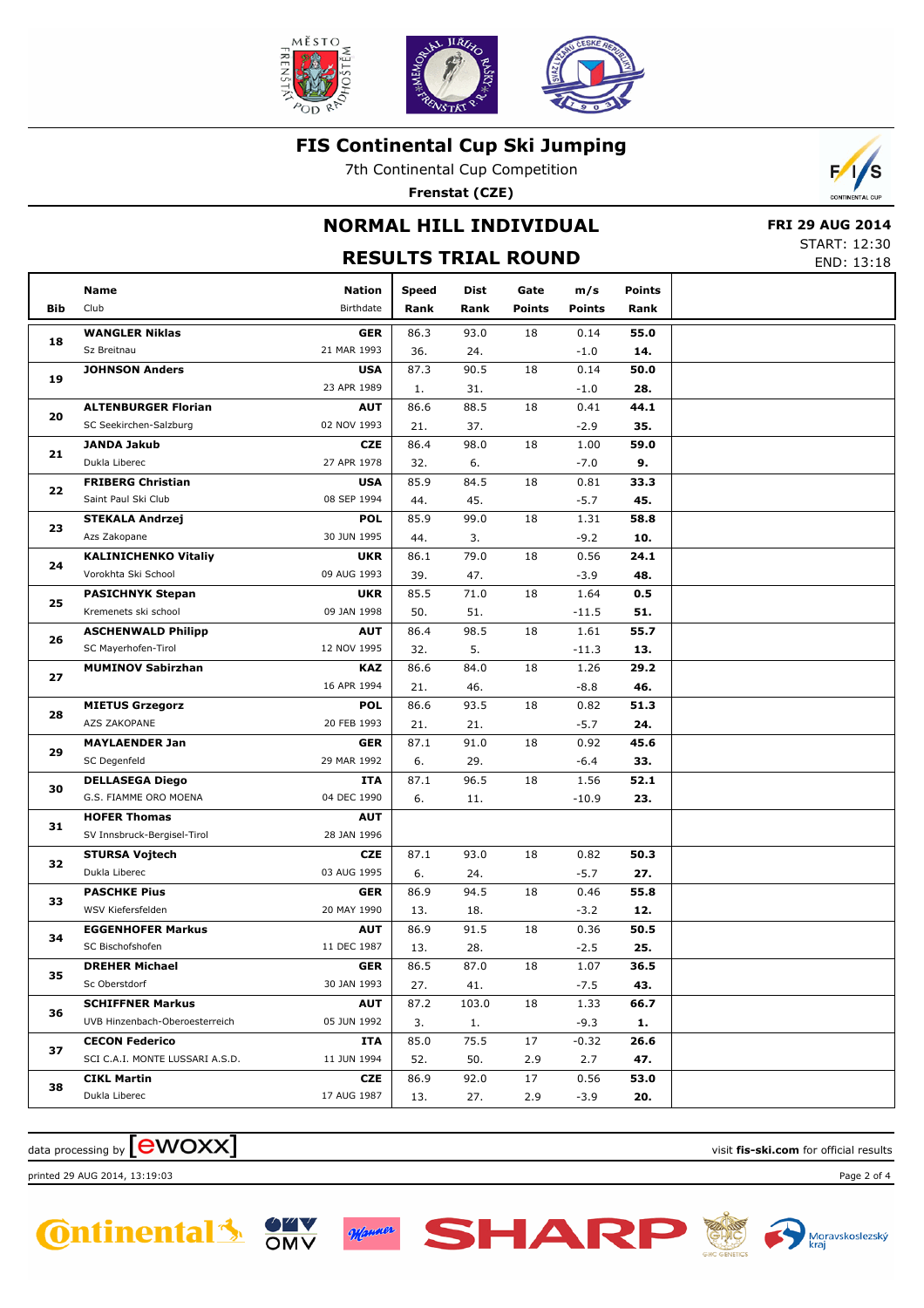

7th Continental Cup Competition

**Frenstat (CZE)**

# **NORMAL HILL INDIVIDUAL**

## **RESULTS TRIAL ROUND**

 **FRI 29 AUG 2014** START: 12:30

 $\mathcal{L}$ 

|     |                                 |               |              |       | KESULIS IKIAL KUUND |               |               | END: 13:18 |
|-----|---------------------------------|---------------|--------------|-------|---------------------|---------------|---------------|------------|
|     | Name                            | <b>Nation</b> | <b>Speed</b> | Dist  | Gate                | m/s           | <b>Points</b> |            |
| Bib | Club                            | Birthdate     | Rank         | Rank  | <b>Points</b>       | <b>Points</b> | Rank          |            |
|     | <b>WANGLER Niklas</b>           | <b>GER</b>    | 86.3         | 93.0  | 18                  | 0.14          | 55.0          |            |
| 18  | Sz Breitnau                     | 21 MAR 1993   | 36.          | 24.   |                     | $-1.0$        | 14.           |            |
|     | <b>JOHNSON Anders</b>           | <b>USA</b>    | 87.3         | 90.5  | 18                  | 0.14          | 50.0          |            |
| 19  |                                 | 23 APR 1989   | 1.           | 31.   |                     | $-1.0$        | 28.           |            |
| 20  | <b>ALTENBURGER Florian</b>      | <b>AUT</b>    | 86.6         | 88.5  | 18                  | 0.41          | 44.1          |            |
|     | SC Seekirchen-Salzburg          | 02 NOV 1993   | 21.          | 37.   |                     | $-2.9$        | 35.           |            |
| 21  | <b>JANDA Jakub</b>              | <b>CZE</b>    | 86.4         | 98.0  | 18                  | 1.00          | 59.0          |            |
|     | Dukla Liberec                   | 27 APR 1978   | 32.          | 6.    |                     | $-7.0$        | 9.            |            |
| 22  | <b>FRIBERG Christian</b>        | <b>USA</b>    | 85.9         | 84.5  | 18                  | 0.81          | 33.3          |            |
|     | Saint Paul Ski Club             | 08 SEP 1994   | 44.          | 45.   |                     | $-5.7$        | 45.           |            |
| 23  | <b>STEKALA Andrzej</b>          | <b>POL</b>    | 85.9         | 99.0  | 18                  | 1.31          | 58.8          |            |
|     | Azs Zakopane                    | 30 JUN 1995   | 44.          | 3.    |                     | $-9.2$        | 10.           |            |
| 24  | <b>KALINICHENKO Vitaliy</b>     | <b>UKR</b>    | 86.1         | 79.0  | 18                  | 0.56          | 24.1          |            |
|     | Vorokhta Ski School             | 09 AUG 1993   | 39.          | 47.   |                     | $-3.9$        | 48.           |            |
| 25  | <b>PASICHNYK Stepan</b>         | <b>UKR</b>    | 85.5         | 71.0  | 18                  | 1.64          | 0.5           |            |
|     | Kremenets ski school            | 09 JAN 1998   | 50.          | 51.   |                     | $-11.5$       | 51.           |            |
| 26  | <b>ASCHENWALD Philipp</b>       | <b>AUT</b>    | 86.4         | 98.5  | 18                  | 1.61          | 55.7          |            |
|     | SC Mayerhofen-Tirol             | 12 NOV 1995   | 32.          | 5.    |                     | $-11.3$       | 13.           |            |
| 27  | <b>MUMINOV Sabirzhan</b>        | <b>KAZ</b>    | 86.6         | 84.0  | 18                  | 1.26          | 29.2          |            |
|     |                                 | 16 APR 1994   | 21.          | 46.   |                     | $-8.8$        | 46.           |            |
| 28  | <b>MIETUS Grzegorz</b>          | <b>POL</b>    | 86.6         | 93.5  | 18                  | 0.82          | 51.3          |            |
|     | AZS ZAKOPANE                    | 20 FEB 1993   | 21.          | 21.   |                     | $-5.7$        | 24.           |            |
| 29  | <b>MAYLAENDER Jan</b>           | <b>GER</b>    | 87.1         | 91.0  | 18                  | 0.92          | 45.6          |            |
|     | SC Degenfeld                    | 29 MAR 1992   | 6.           | 29.   |                     | $-6.4$        | 33.           |            |
| 30  | <b>DELLASEGA Diego</b>          | ITA           | 87.1         | 96.5  | 18                  | 1.56          | 52.1          |            |
|     | G.S. FIAMME ORO MOENA           | 04 DEC 1990   | 6.           | 11.   |                     | $-10.9$       | 23.           |            |
| 31  | <b>HOFER Thomas</b>             | <b>AUT</b>    |              |       |                     |               |               |            |
|     | SV Innsbruck-Bergisel-Tirol     | 28 JAN 1996   |              |       |                     |               |               |            |
| 32  | <b>STURSA Vojtech</b>           | <b>CZE</b>    | 87.1         | 93.0  | 18                  | 0.82          | 50.3          |            |
|     | Dukla Liberec                   | 03 AUG 1995   | 6.           | 24.   |                     | $-5.7$        | 27.           |            |
| 33  | <b>PASCHKE Pius</b>             | <b>GER</b>    | 86.9         | 94.5  | 18                  | 0.46          | 55.8          |            |
|     | WSV Kiefersfelden               | 20 MAY 1990   | 13.          | 18.   |                     | $-3.2$        | 12.           |            |
| 34  | <b>EGGENHOFER Markus</b>        | <b>AUT</b>    | 86.9         | 91.5  | 18                  | 0.36          | 50.5          |            |
|     | SC Bischofshofen                | 11 DEC 1987   | 13.          | 28.   |                     | $-2.5$        | 25.           |            |
| 35  | <b>DREHER Michael</b>           | <b>GER</b>    | 86.5         | 87.0  | 18                  | 1.07          | 36.5          |            |
|     | Sc Oberstdorf                   | 30 JAN 1993   | 27.          | 41.   |                     | $-7.5$        | 43.           |            |
| 36  | <b>SCHIFFNER Markus</b>         | <b>AUT</b>    | 87.2         | 103.0 | 18                  | 1.33          | 66.7          |            |
|     | UVB Hinzenbach-Oberoesterreich  | 05 JUN 1992   | 3.           | 1.    |                     | $-9.3$        | 1.            |            |
| 37  | <b>CECON Federico</b>           | <b>ITA</b>    | 85.0         | 75.5  | 17                  | $-0.32$       | 26.6          |            |
|     | SCI C.A.I. MONTE LUSSARI A.S.D. | 11 JUN 1994   | 52.          | 50.   | 2.9                 | 2.7           | 47.           |            |
| 38  | <b>CIKL Martin</b>              | CZE           | 86.9         | 92.0  | 17                  | 0.56          | 53.0          |            |
|     | Dukla Liberec                   | 17 AUG 1987   | 13.          | 27.   | 2.9                 | $-3.9$        | 20.           |            |

 $\alpha$  data processing by  $\boxed{\text{ewOX}}$ 

printed 29 AUG 2014, 13:19:03 Page 2 of 4





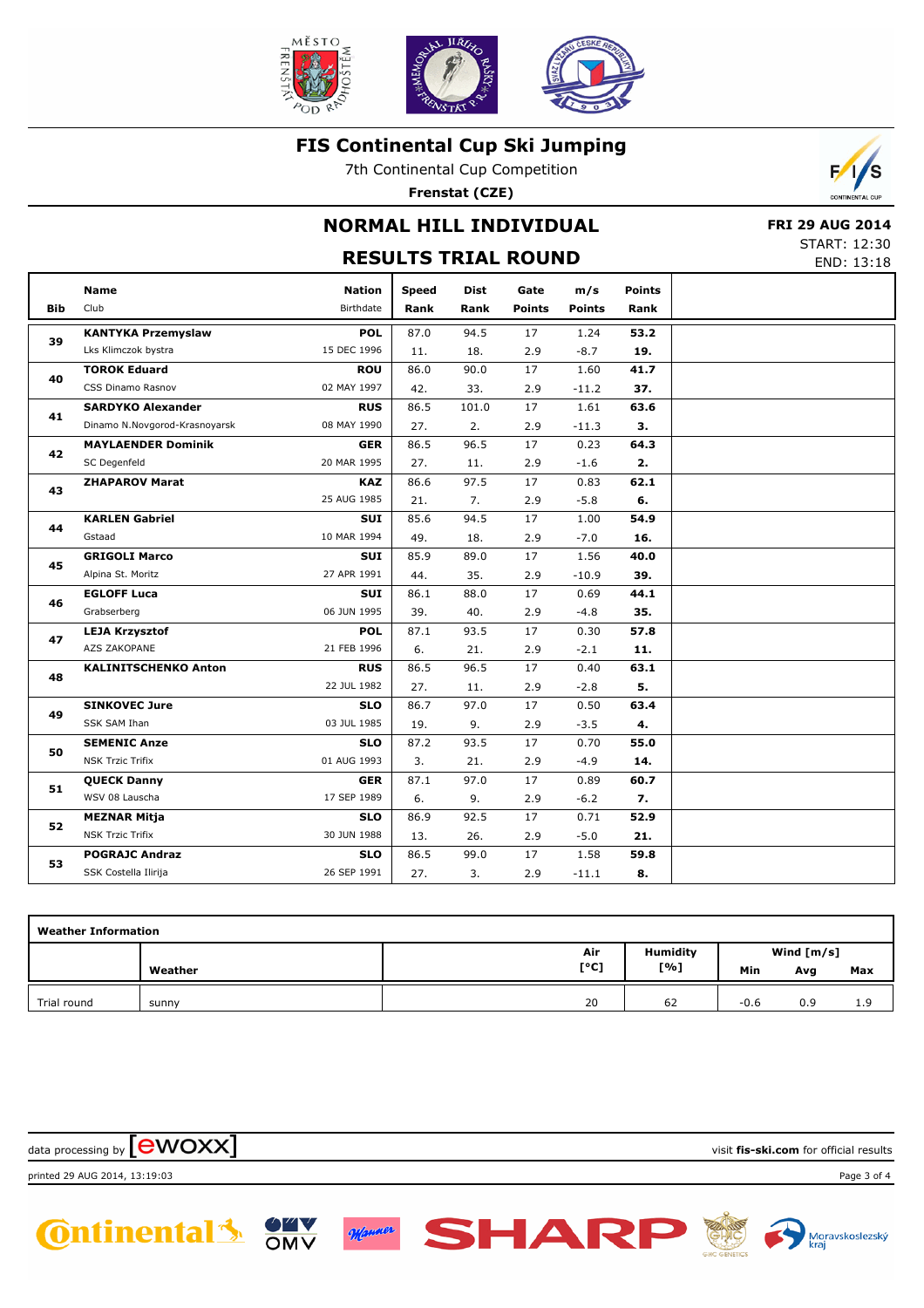

7th Continental Cup Competition

**Frenstat (CZE)**



## **NORMAL HILL INDIVIDUAL**

## **RESULTS TRIAL ROUND**

 **FRI 29 AUG 2014** START: 12:30

|            |                               | END: 13:18    |              |       |               |               |               |  |
|------------|-------------------------------|---------------|--------------|-------|---------------|---------------|---------------|--|
|            | <b>Name</b>                   | <b>Nation</b> | <b>Speed</b> | Dist  | Gate          | m/s           | <b>Points</b> |  |
| <b>Bib</b> | Club                          | Birthdate     | Rank         | Rank  | <b>Points</b> | <b>Points</b> | Rank          |  |
|            | <b>KANTYKA Przemyslaw</b>     | <b>POL</b>    | 87.0         | 94.5  | 17            | 1.24          | 53.2          |  |
| 39         | Lks Klimczok bystra           | 15 DEC 1996   | 11.          | 18.   | 2.9           | $-8.7$        | 19.           |  |
| 40         | <b>TOROK Eduard</b>           | <b>ROU</b>    | 86.0         | 90.0  | 17            | 1.60          | 41.7          |  |
|            | CSS Dinamo Rasnov             | 02 MAY 1997   | 42.          | 33.   | 2.9           | $-11.2$       | 37.           |  |
| 41         | <b>SARDYKO Alexander</b>      | <b>RUS</b>    | 86.5         | 101.0 | 17            | 1.61          | 63.6          |  |
|            | Dinamo N.Novgorod-Krasnoyarsk | 08 MAY 1990   | 27.          | 2.    | 2.9           | $-11.3$       | 3.            |  |
| 42         | <b>MAYLAENDER Dominik</b>     | <b>GER</b>    | 86.5         | 96.5  | 17            | 0.23          | 64.3          |  |
|            | SC Degenfeld                  | 20 MAR 1995   | 27.          | 11.   | 2.9           | $-1.6$        | 2.            |  |
| 43         | <b>ZHAPAROV Marat</b>         | <b>KAZ</b>    | 86.6         | 97.5  | 17            | 0.83          | 62.1          |  |
|            |                               | 25 AUG 1985   | 21.          | 7.    | 2.9           | $-5.8$        | 6.            |  |
| 44         | <b>KARLEN Gabriel</b>         | <b>SUI</b>    | 85.6         | 94.5  | 17            | 1.00          | 54.9          |  |
|            | Gstaad                        | 10 MAR 1994   | 49.          | 18.   | 2.9           | $-7.0$        | 16.           |  |
| 45         | <b>GRIGOLI Marco</b>          | SUI           | 85.9         | 89.0  | 17            | 1.56          | 40.0          |  |
|            | Alpina St. Moritz             | 27 APR 1991   | 44.          | 35.   | 2.9           | $-10.9$       | 39.           |  |
| 46         | <b>EGLOFF Luca</b>            | SUI           | 86.1         | 88.0  | 17            | 0.69          | 44.1          |  |
|            | Grabserberg                   | 06 JUN 1995   | 39.          | 40.   | 2.9           | $-4.8$        | 35.           |  |
| 47         | <b>LEJA Krzysztof</b>         | <b>POL</b>    | 87.1         | 93.5  | 17            | 0.30          | 57.8          |  |
|            | AZS ZAKOPANE                  | 21 FEB 1996   | 6.           | 21.   | 2.9           | $-2.1$        | 11.           |  |
| 48         | <b>KALINITSCHENKO Anton</b>   | <b>RUS</b>    | 86.5         | 96.5  | 17            | 0.40          | 63.1          |  |
|            |                               | 22 JUL 1982   | 27.          | 11.   | 2.9           | $-2.8$        | 5.            |  |
| 49         | <b>SINKOVEC Jure</b>          | <b>SLO</b>    | 86.7         | 97.0  | 17            | 0.50          | 63.4          |  |
|            | SSK SAM Ihan                  | 03 JUL 1985   | 19.          | 9.    | 2.9           | $-3.5$        | 4.            |  |
| 50         | <b>SEMENIC Anze</b>           | <b>SLO</b>    | 87.2         | 93.5  | 17            | 0.70          | 55.0          |  |
|            | NSK Trzic Trifix              | 01 AUG 1993   | 3.           | 21.   | 2.9           | $-4.9$        | 14.           |  |
| 51         | <b>QUECK Danny</b>            | <b>GER</b>    | 87.1         | 97.0  | 17            | 0.89          | 60.7          |  |
|            | WSV 08 Lauscha                | 17 SEP 1989   | 6.           | 9.    | 2.9           | $-6.2$        | 7.            |  |
| 52         | <b>MEZNAR Mitja</b>           | <b>SLO</b>    | 86.9         | 92.5  | 17            | 0.71          | 52.9          |  |
|            | <b>NSK Trzic Trifix</b>       | 30 JUN 1988   | 13.          | 26.   | 2.9           | $-5.0$        | 21.           |  |
| 53         | <b>POGRAJC Andraz</b>         | <b>SLO</b>    | 86.5         | 99.0  | 17            | 1.58          | 59.8          |  |
|            | SSK Costella Ilirija          | 26 SEP 1991   | 27.          | 3.    | 2.9           | $-11.1$       | 8.            |  |

| <b>Weather Information</b> |         |     |                    |        |              |     |  |  |  |  |
|----------------------------|---------|-----|--------------------|--------|--------------|-----|--|--|--|--|
|                            |         | Air | <b>Humidity</b>    |        | Wind $[m/s]$ |     |  |  |  |  |
|                            | Weather |     | [°C]<br>[%]<br>Min |        | Avg          | Max |  |  |  |  |
| Trial round                | sunny   | 20  | 62                 | $-0.6$ | 0.9          | 1.9 |  |  |  |  |

data processing by **CWOXX** and  $\overline{C}$  and  $\overline{C}$  and  $\overline{C}$  and  $\overline{C}$  and  $\overline{C}$  and  $\overline{C}$  and  $\overline{C}$  and  $\overline{C}$  and  $\overline{C}$  and  $\overline{C}$  and  $\overline{C}$  and  $\overline{C}$  and  $\overline{C}$  and  $\overline{C}$  and  $\overline{C}$  printed 29 AUG 2014, 13:19:03 Page 3 of 4**SHAR C**ntinental 3 Manner

OMV